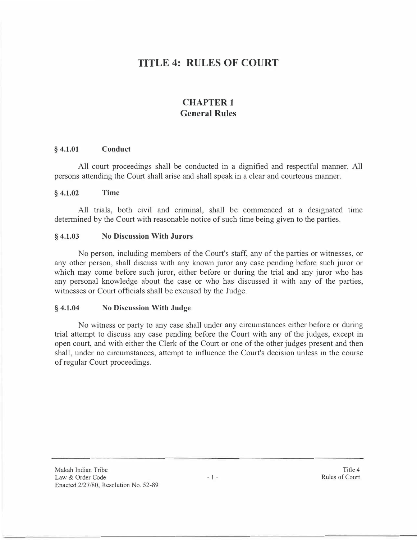# **TITLE 4: RULES OF COURT**

## **CHAPTER I General Rules**

#### **§ 4.1.01 Conduct**

All court proceedings shall be conducted in a dignified and respectful manner. All persons attending the Court shall arise and shall speak in a clear and courteous manner.

#### **§ 4.1.02 Time**

All trials, both civil and criminal, shall be commenced at a designated time determined by the Court with reasonable notice of such time being given to the parties.

#### **§ 4.1.03 No Discussion With Jurors**

No person, including members of the Court's staff, any of the parties or witnesses, or any other person, shall discuss with any known juror any case pending before such juror or which may come before such juror, either before or during the trial and any juror who has any personal knowledge about the case or who has discussed it with any of the parties, witnesses or Court officials shall be excused by the Judge.

#### **§ 4.1.04 No Discussion With Judge**

No witness or party to any case shall under any circumstances either before or during trial attempt to discuss any case pending before the Court with any of the judges, except in open court, and with either the Clerk of the Court or one of the other judges present and then shall, under no circumstances, attempt to influence the Court's decision unless in the course of regular Court proceedings.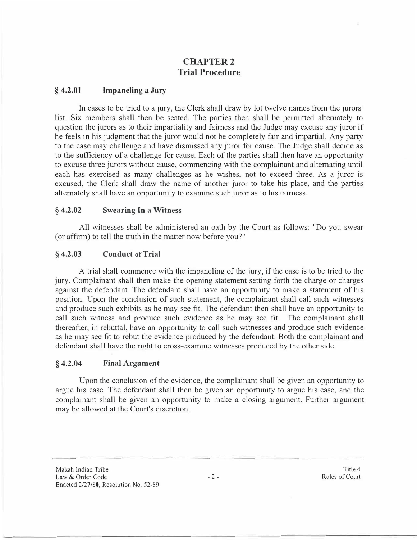## **CHAPTER2 Trial Procedure**

#### **§ 4.2.01 Impaneling a Jury**

In cases to be tried to a jury, the Clerk shall draw by lot twelve names from the jurors' list. Six members shall then be seated. The parties then shall be permitted alternately to question the jurors as to their impartiality and fairness and the Judge may excuse any juror if he feels in his judgment that the juror would not be completely fair and impartial. Any party to the case may challenge and have dismissed any juror for cause. The Judge shall decide as to the sufficiency of a challenge for cause. Each of the parties shall then have an opportunity to excuse three jurors without cause, commencing with the complainant and alternating until each has exercised as many challenges as he wishes, not to exceed three. As a juror is excused, the Clerk shall draw the name of another juror to take his place, and the parties alternately shall have an opportunity to examine such juror as to his fairness.

#### **§ 4.2.02 Swearing In a Witness**

All witnesses shall be administered an oath by the Court as follows: "Do you swear ( or affirm) to tell the truth in the matter now before you?"

#### **§ 4.2.03 Conduct of Trial**

A trial shall commence with the impaneling of the jury, if the case is to be tried to the jury. Complainant shall then make the opening statement setting forth the charge or charges against the defendant. The defendant shall have an opportunity to make a statement of his position. Upon the conclusion of such statement, the complainant shall call such witnesses and produce such exhibits as he may see fit. The defendant then shall have an opportunity to call such witness and produce such evidence as he may see fit. The complainant shall thereafter, in rebuttal, have an opportunity to call such witnesses and produce such evidence as he may see fit to rebut the evidence produced by the defendant. Both the complainant and defendant shall have the right to cross-examine witnesses produced by the other side.

#### **§ 4.2.04 Final Argument**

Upon the conclusion of the evidence, the complainant shall be given an opportunity to argue his case. The defendant shall then be given an opportunity to argue his case, and the complainant shall be given an opportunity to make a closing argument. Further argument may be allowed at the Court's discretion.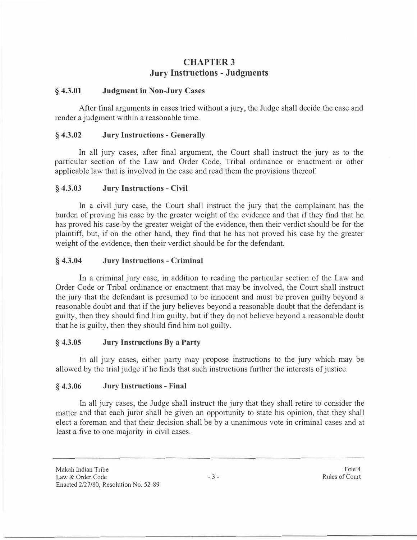## **CHAPTER3 Jury Instructions - Judgments**

#### **§ 4.3.01 Judgment in Non-Jury Cases**

After final arguments in cases tried without a jury, the Judge shall decide the case and render a judgment within a reasonable time.

#### **§ 4.3.02 Jury Instructions - Generally**

In all jury cases, after final argument, the Court shall instruct the jury as to the particular section of the Law and Order Code, Tribal ordinance or enactment or other applicable law that is involved in the case and read them the provisions thereof.

### **§ 4.3.03 Jury Instructions - Civil**

In a civil jury case, the Court shall instruct the jury that the complainant has the burden of proving his case by the greater weight of the evidence and that if they find that he has proved his case-by the greater weight of the evidence, then their verdict should be for the plaintiff, but, if on the other hand, they find that he has not proved his case by the greater weight of the evidence, then their verdict should be for the defendant.

### **§ 4.3.04 Jury Instructions - Criminal**

In a criminal jury case, in addition to reading the particular section of the Law and Order Code or Tribal ordinance or enactment that may be involved, the Court shall instruct the jury that the defendant is presumed to be innocent and must be proven guilty beyond a reasonable doubt and that if the jury believes beyond a reasonable doubt that the defendant is guilty, then they should find him guilty, but if they do not believe beyond a reasonable doubt that he is guilty, then they should find him not guilty.

#### **§ 4.3.05 Jury Instructions By a Party**

In all jury cases, either party may propose instructions to the jury which may be allowed by the trial judge if he finds that such instructions further the interests of justice.

### **§ 4.3.06 Jury Instructions - Final**

In all jury cases, the Judge shall instruct the jury that they shall retire to consider the matter and that each juror shall be given an opportunity to state his opinion, that they shall elect a foreman and that their decision shall be by a unanimous vote in criminal cases and at least a five to one majority in civil cases.